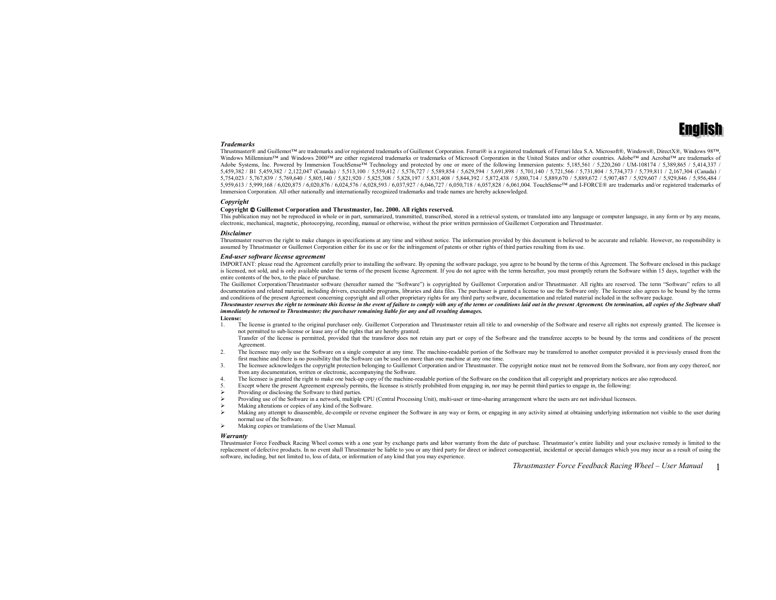

#### *Trademarks*

 Thrustmaster® and Guillemot™ are trademarks and/or registered trademarks of Guillemot Corporation. Ferrari® is a registered trademark of Ferrari Idea S.A. Microsoft®, Windows®, DirectX®, Windows 98™, Windows Millennium™ and Windows 2000™ are either registered trademarks or trademarks of Microsoft Corporation in the United States and/or other countries. Adobe™ and Acrobat™ are trademarks of Adobe Systems. Inc. Powered by Immersion TouchSense<sup>TM</sup> Technology and protected by one or more of the following Immersion patents: 5,185,561 / 5,220,260 / UM-108174 / 5,389,865 / 5,414,337 / 5,459,382 / B1 5,459,382 / 2,122,047 (Canada) / 5,513,100 / 5,559,412 / 5,576,727 / 5,589,854 / 5,629,594 / 5,691,898 / 5,701,140 / 5,721,566 / 5,731,804 / 5,734,373 / 5,739,811 / 2,167,304 (Canada) / 5,754,023 / 5,767,839 / 5,769,640 / 5,805,140 / 5,821,920 / 5,825,308 / 5,828,197 / 5,831,408 / 5,844,392 / 5,872,438 / 5,880,714 / 5,889,670 / 5,889,672 / 5,907,487 / 5,929,607 / 5,929,846 / 5,956,484 / 5,959,613 / 5,999,168 / 6,020,875 / 6,020,876 / 6,024,576 / 6,028,593 / 6,037,927 / 6,046,727 / 6,050,718 / 6,057,828 / 6,061,004. TouchSense™ and I-FORCE® are trademarks and/or registered trademarks of Immersion Corporation. All other nationally and internationally recognized trademarks and trade names are hereby acknowledged.

#### *Copyright*

#### **Copyright Guillemot Corporation and Thrustmaster, Inc. 2000. All rights reserved.**

This publication may not be reproduced in whole or in part, summarized, transmitted, transcribed, stored in a retrieval system, or translated into any language or computer language, in any form or by any means, electronic, mechanical, magnetic, photocopying, recording, manual or otherwise, without the prior written permission of Guillemot Corporation and Thrustmaster.

#### *Disclaimer*

Thrustmaster reserves the right to make changes in specifications at any time and without notice. The information provided by this document is believed to be accurate and reliable. However, no responsibility is assumed by Thrustmaster or Guillemot Corporation either for its use or for the infringement of patents or other rights of third parties resulting from its use.

#### *End-user software license agreement*

IMPORTANT: please read the Agreement carefully prior to installing the software. By opening the software package, you agree to be bound by the terms of this Agreement. The Software enclosed in this package is licensed, not sold, and is only available under the terms of the present license Agreement. If you do not agree with the terms hereafter, you must promptly return the Software within 15 days, together with the entire contents of the box, to the place of purchase.

The Guillemot Corporation/Thrustmaster software (hereafter named the "Software") is copyrighted by Guillemot Corporation and/or Thrustmaster. All rights are reserved. The term "Software" refers to all documentation and related material, including drivers, executable programs, libraries and data files. The purchaser is granted a license to use the Software only. The licensee also agrees to be bound by the terms and conditions of the present Agreement concerning copyright and all other proprietary rights for any third party software, documentation and related material included in the software package.

#### *Thrustmaster reserves the right to terminate this license in the event of failure to comply with any of the terms or conditions laid out in the present Agreement. On termination, all copies of the Software shall immediately be returned to Thrustmaster; the purchaser remaining liable for any and all resulting damages.*

- **License:**
- The license is granted to the original purchaser only. Guillemot Corporation and Thrustmaster retain all title to and ownership of the Software and reserve all rights not expressly granted. The licensee is 1.not permitted to sub-license or lease any of the rights that are hereby granted.

Transfer of the license is permitted, provided that the transferor does not retain any part or copy of the Software and the transferee accepts to be bound by the terms and conditions of the present Agreement.

- 2.The licensee may only use the Software on a single computer at any time. The machine-readable portion of the Software may be transferred to another computer provided it is previously erased from the first machine and there is no possibility that the Software can be used on more than one machine at any one time.
- 3. The licensee acknowledges the copyright protection belonging to Guillemot Corporation and/or Thrustmaster. The copyright notice must not be removed from the Software, nor from any copy thereof, nor from any documentation, written or electronic, accompanying the Software.
- 4.The licensee is granted the right to make one back-up copy of the machine-readable portion of the Software on the condition that all copyright and proprietary notices are also reproduced.
- 5.Except where the present Agreement expressly permits, the licensee is strictly prohibited from engaging in, nor may he permit third parties to engage in, the following:
- !Providing or disclosing the Software to third parties.
- !Providing use of the Software in a network, multiple CPU (Central Processing Unit), multi-user or time-sharing arrangement where the users are not individual licensees.
- !Making alterations or copies of any kind of the Software.
- !Making any attempt to disassemble, de-compile or reverse engineer the Software in any way or form, or engaging in any activity aimed at obtaining underlying information not visible to the user during normal use of the Software.
- !Making copies or translations of the User Manual.

#### *Warranty*

Thrustmaster Force Feedback Racing Wheel comes with a one year by exchange parts and labor warranty from the date of purchase. Thrustmaster's entire liability and your exclusive remedy is limited to the replacement of defective products. In no event shall Thrustmaster be liable to you or any third party for direct or indirect consequential, incidental or special damages which you may incur as a result of using the software, including, but not limited to, loss of data, or information of any kind that you may experience.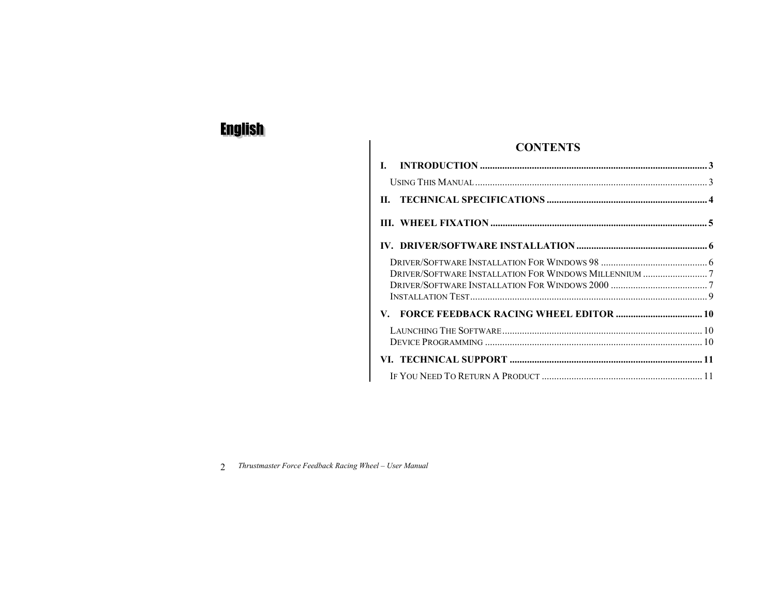| <b>CONTENTS</b> |
|-----------------|
|-----------------|

| П. |  |
|----|--|
|    |  |
|    |  |
|    |  |
|    |  |
|    |  |
|    |  |
|    |  |
|    |  |
|    |  |
|    |  |
|    |  |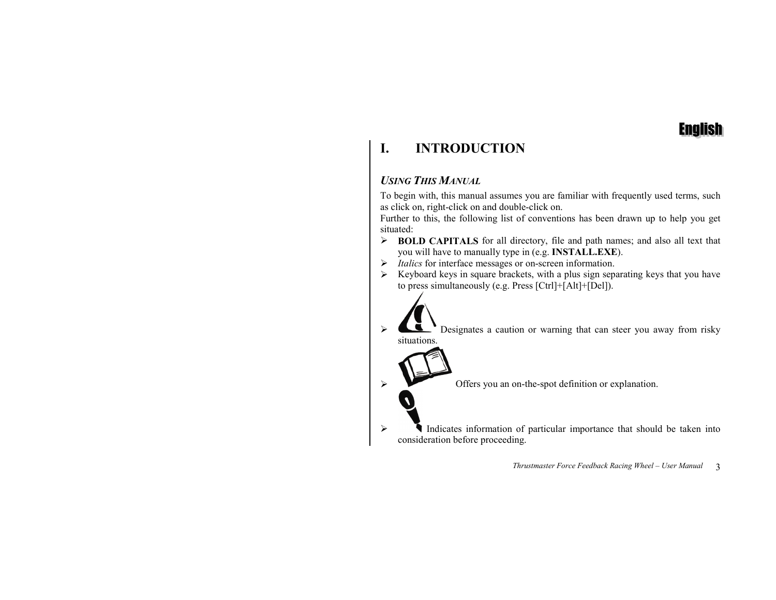

### **I.INTRODUCTION**

## *USING THIS MANUAL*

To begin with, this manual assumes you are familiar with frequently used terms, such as click on, right-click on and double-click on.

Further to this, the following list of conventions has been drawn up to help you get situated:

- ! **BOLD CAPITALS** for all directory, file and path names; and also all text that you will have to manually type in (e.g. **INSTALL.EXE**).
- ! *Italics* for interface messages or on-screen information.
- $\triangleright$  Keyboard keys in square brackets, with a plus sign separating keys that you have to press simultaneously (e.g. Press [Ctrl]+[Alt]+[Del]).
	- Designates a caution or warning that can steer you away from risky situations.
		- Offers you an on-the-spot definition or explanation.
- $\triangleright$  Indicates information of particular importance that should be taken into consideration before proceeding.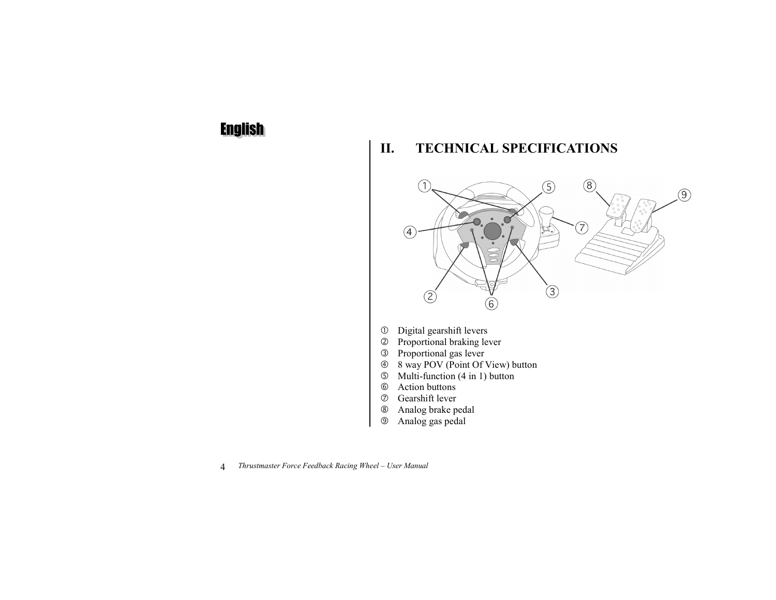#### **II.TECHNICAL SPECIFICATIONS**

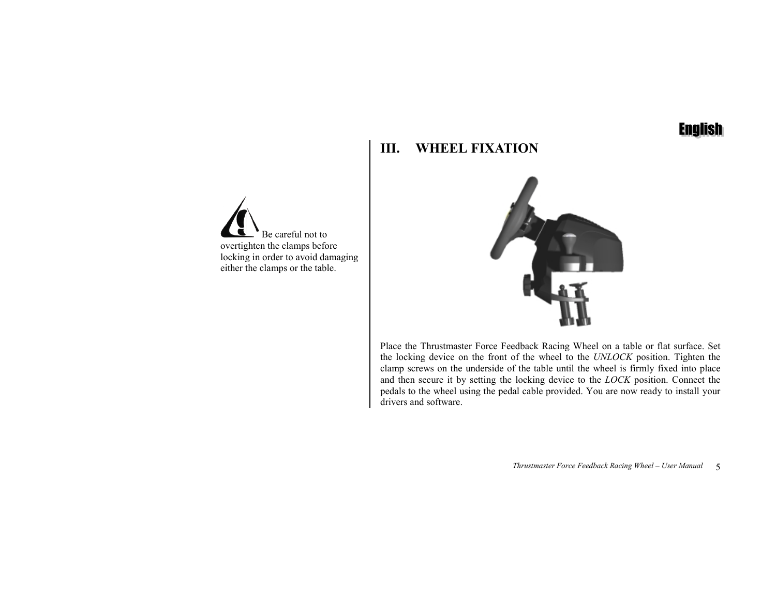#### **III.WHEEL FIXATION**

 Be careful not toovertighten the clamps before locking in order to avoid damaging either the clamps or the table.



Place the Thrustmaster Force Feedback Racing Wheel on a table or flat surface. Set the locking device on the front of the wheel to the *UNLOCK* position. Tighten the clamp screws on the underside of the table until the wheel is firmly fixed into place and then secure it by setting the locking device to the *LOCK* position. Connect the pedals to the wheel using the pedal cable provided. You are now ready to install your drivers and software.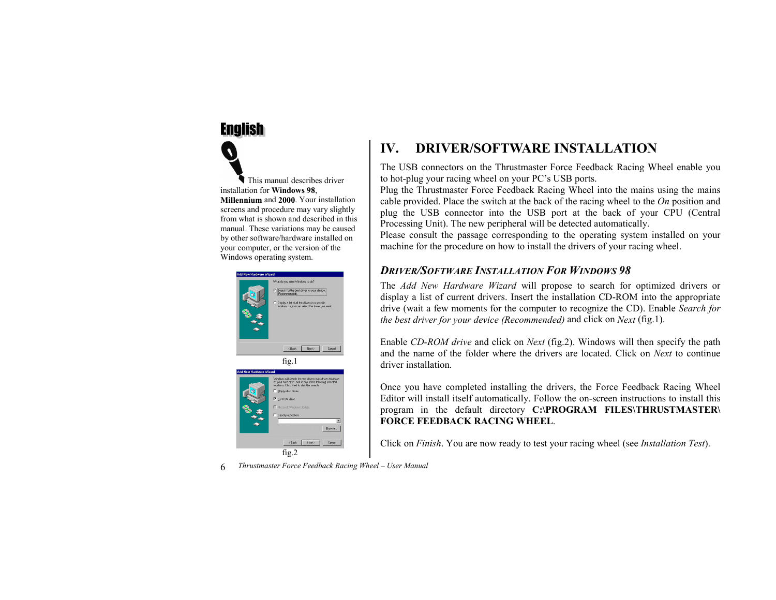This manual describes driverinstallation for **Windows 98**, **Millennium** and **2000**. Your installationscreens and procedure may vary slightly from what is shown and described in thismanual. These variations may be caused by other software/hardware installed on your computer, or the version of the Windows operating system.



### **IV.DRIVER/SOFTWARE INSTALLATION**

The USB connectors on the Thrustmaster Force Feedback Racing Wheel enable you to hot-plug your racing wheel on your PC's USB ports.

Plug the Thrustmaster Force Feedback Racing Wheel into the mains using the mains cable provided. Place the switch at the back of the racing wheel to the *On* position and plug the USB connector into the USB port at the back of your CPU (Central Processing Unit). The new peripheral will be detected automatically.

Please consult the passage corresponding to the operating system installed on your machine for the procedure on how to install the drivers of your racing wheel.

## *DRIVER/SOFTWARE INSTALLATION FOR WINDOWS 98*

The *Add New Hardware Wizard* will propose to search for optimized drivers or display a list of current drivers. Insert the installation CD-ROM into the appropriate drive (wait a few moments for the computer to recognize the CD). Enable *Search for the best driver for your device (Recommended)* and click on *Next* (fig.1).

Enable *CD-ROM drive* and click on *Next* (fig.2). Windows will then specify the path and the name of the folder where the drivers are located. Click on *Next* to continuedriver installation.

Once you have completed installing the drivers, the Force Feedback Racing Wheel Editor will install itself automatically. Follow the on-screen instructions to install this program in the default directory **C:\PROGRAM FILES\THRUSTMASTER\ FORCE FEEDBACK RACING WHEEL**.

Click on *Finish*. You are now ready to test your racing wheel (see *Installation Test*).

6*Thrustmaster Force Feedback Racing Wheel – User Manual*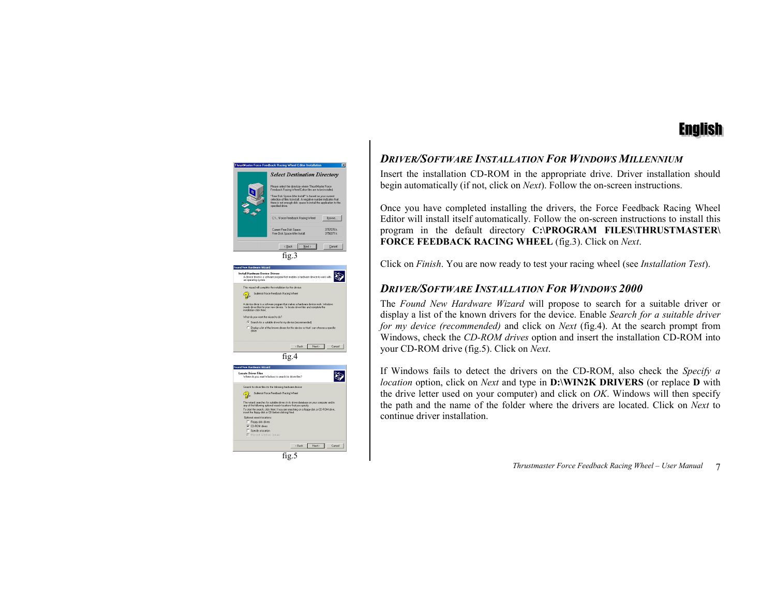

## *DRIVER/SOFTWARE INSTALLATION FOR WINDOWS MILLENNIUM*

Insert the installation CD-ROM in the appropriate drive. Driver installation should begin automatically (if not, click on *Next*). Follow the on-screen instructions.

Once you have completed installing the drivers, the Force Feedback Racing Wheel Editor will install itself automatically. Follow the on-screen instructions to install this program in the default directory **C:\PROGRAM FILES\THRUSTMASTER\ FORCE FEEDBACK RACING WHEEL** (fig.3). Click on *Next*.

Click on *Finish*. You are now ready to test your racing wheel (see *Installation Test*).

## *DRIVER/SOFTWARE INSTALLATION FOR WINDOWS 2000*

The *Found New Hardware Wizard* will propose to search for a suitable driver or display a list of the known drivers for the device. Enable *Search for a suitable driver for my device (recommended)* and click on *Next* (fig.4). At the search prompt from Windows, check the *CD-ROM drives* option and insert the installation CD-ROM into your CD-ROM drive (fig.5). Click on *Next*.

If Windows fails to detect the drivers on the CD-ROM, also check the *Specify a location* option, click on *Next* and type in **D:\WIN2K DRIVERS** (or replace **D** with the drive letter used on your computer) and click on *OK*. Windows will then specify the path and the name of the folder where the drivers are located. Click on *Next* to continue driver installation.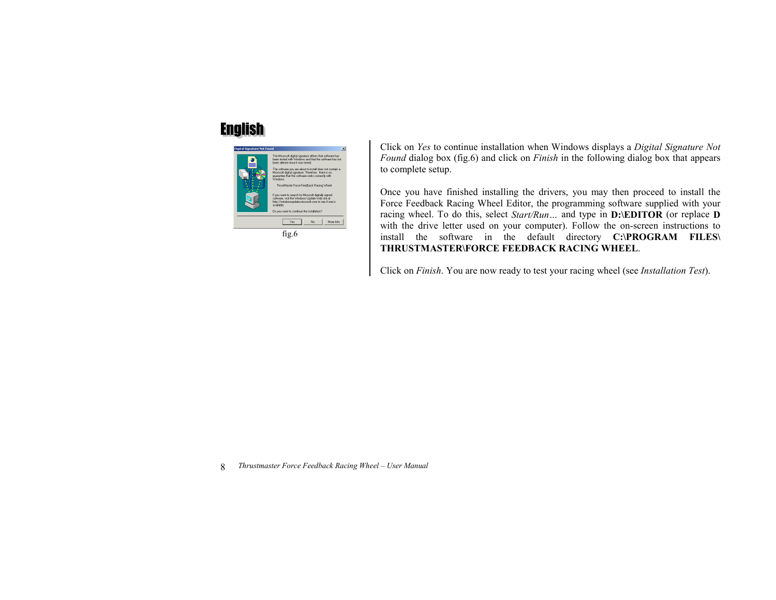

Click on *Yes* to continue installation when Windows displays a *Digital Signature Not Found* dialog box (fig.6) and click on *Finish* in the following dialog box that appears to complete setup.

Once you have finished installing the drivers, you may then proceed to install the Force Feedback Racing Wheel Editor, the programming software supplied with your racing wheel. To do this, select *Start/Run…* and type in **D:\EDITOR** (or replace **D** with the drive letter used on your computer). Follow the on-screen instructions to install the software in the default directory **C:\PROGRAM FILES\ THRUSTMASTER\FORCE FEEDBACK RACING WHEEL**.

Click on *Finish*. You are now ready to test your racing wheel (see *Installation Test*).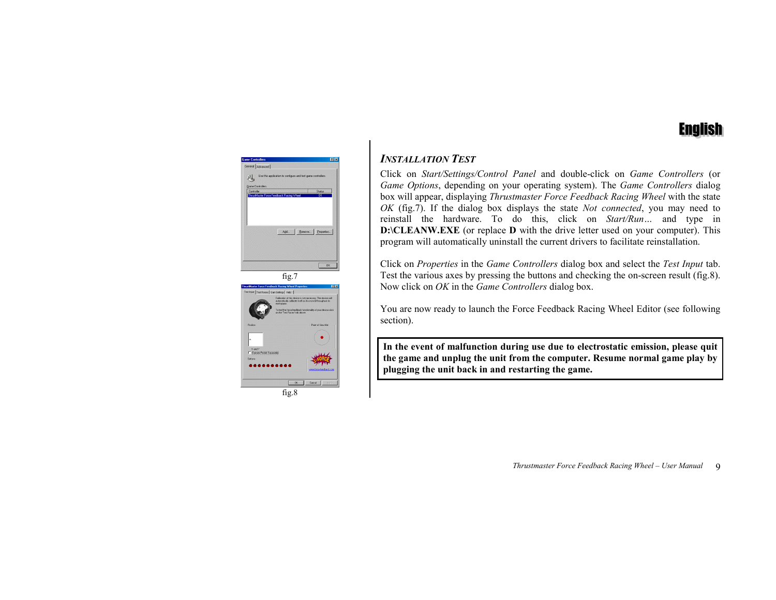

## *INSTALLATION TEST*

Click on *Start/Settings/Control Panel* and double-click on *Game Controllers* (or *Game Options*, depending on your operating system). The *Game Controllers* dialog box will appear, displaying *Thrustmaster Force Feedback Racing Wheel* with the state *OK* (fig.7). If the dialog box displays the state *Not connected*, you may need to reinstall the hardware. To do this, click on *Start/Run…* and type in **D:\CLEANW.EXE** (or replace **D** with the drive letter used on your computer). This program will automatically uninstall the current drivers to facilitate reinstallation.

Click on *Properties* in the *Game Controllers* dialog box and select the *Test Input* tab. Test the various axes by pressing the buttons and checking the on-screen result (fig.8). Now click on *OK* in the *Game Controllers* dialog box.

You are now ready to launch the Force Feedback Racing Wheel Editor (see following section).

**In the event of malfunction during use due to electrostatic emission, please quit the game and unplug the unit from the computer. Resume normal game play by plugging the unit back in and restarting the game.**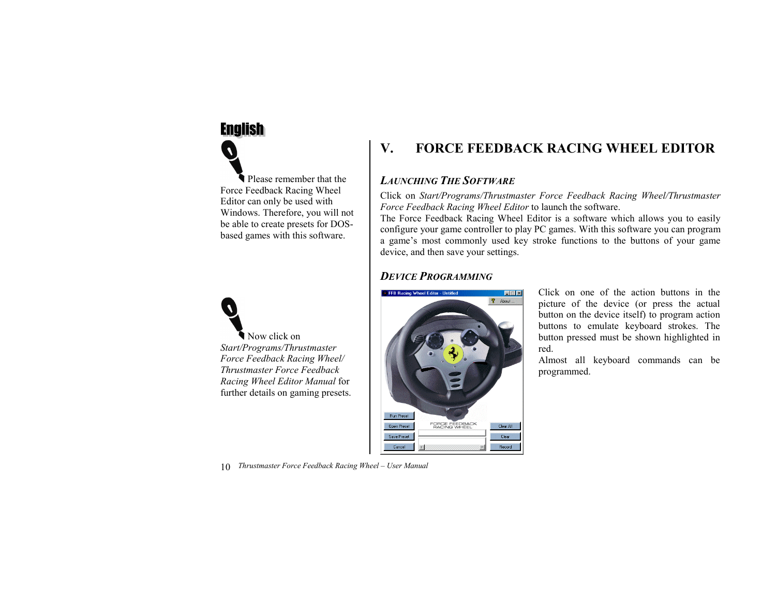



### **V.FORCE FEEDBACK RACING WHEEL EDITOR**

## *LAUNCHING THE SOFTWARE*

Click on *Start/Programs/Thrustmaster Force Feedback Racing Wheel/Thrustmaster Force Feedback Racing Wheel Editor* to launch the software.

The Force Feedback Racing Wheel Editor is a software which allows you to easily configure your game controller to play PC games. With this software you can program a game's most commonly used key stroke functions to the buttons of your game device, and then save your settings.

## *DEVICE PROGRAMMING*



Click on one of the action buttons in thepicture of the device (or press the actual button on the device itself) to program action buttons to emulate keyboard strokes. The button pressed must be shown highlighted in red.

Almost all keyboard commands can be programmed.

10*Thrustmaster Force Feedback Racing Wheel – User Manual*